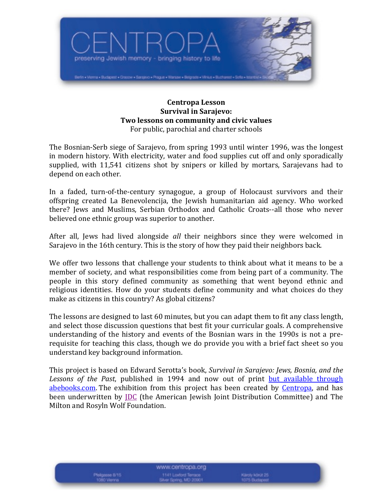

#### **Centropa)Lesson Survival in Sarajevo:** Two lessons on community and civic values For public, parochial and charter schools

The Bosnian-Serb siege of Sarajevo, from spring 1993 until winter 1996, was the longest in modern history. With electricity, water and food supplies cut off and only sporadically supplied, with 11,541 citizens shot by snipers or killed by mortars, Sarajevans had to depend on each other.

In a faded, turn-of-the-century synagogue, a group of Holocaust survivors and their offspring created La Benevolencija, the Jewish humanitarian aid agency. Who worked there? Jews and Muslims, Serbian Orthodox and Catholic Croats--all those who never believed one ethnic group was superior to another.

After all, Jews had lived alongside *all* their neighbors since they were welcomed in Sarajevo in the 16th century. This is the story of how they paid their neighbors back.

We offer two lessons that challenge your students to think about what it means to be a member of society, and what responsibilities come from being part of a community. The people in this story defined community as something that went beyond ethnic and religious identities. How do your students define community and what choices do they make as citizens in this country? As global citizens?

The lessons are designed to last 60 minutes, but you can adapt them to fit any class length, and select those discussion questions that best fit your curricular goals. A comprehensive understanding of the history and events of the Bosnian wars in the 1990s is not a prerequisite for teaching this class, though we do provide you with a brief fact sheet so you understand key background information.

This project is based on Edward Serotta's book, *Survival in Sarajevo: Jews, Bosnia, and the* Lessons of the Past, published in 1994 and now out of print but available through abebooks.com. The exhibition from this project has been created by Centropa, and has been underwritten by JDC (the American Jewish Joint Distribution Committee) and The Milton and Rosyln Wolf Foundation.

www.centropa.org 1141 Loxford Terrace<br>Rver Spring, MD 20901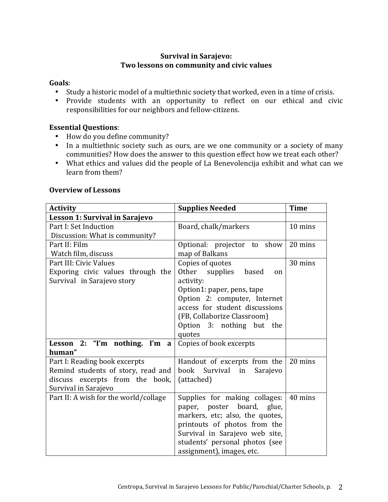# Survival in Sarajevo: Two lessons on community and civic values

#### **Goals**:

- Study a historic model of a multiethnic society that worked, even in a time of crisis.
- Provide students with an opportunity to reflect on our ethical and civic responsibilities for our neighbors and fellow-citizens.

# **Essential Questions:**

- How do you define community?
- In a multiethnic society such as ours, are we one community or a society of many communities? How does the answer to this question effect how we treat each other?
- What ethics and values did the people of La Benevolencija exhibit and what can we learn from them?

# **Overview)of)Lessons**

| <b>Activity</b>                       | <b>Supplies Needed</b>                   | <b>Time</b> |
|---------------------------------------|------------------------------------------|-------------|
| Lesson 1: Survival in Sarajevo        |                                          |             |
| Part I: Set Induction                 | Board, chalk/markers                     | 10 mins     |
| Discussion: What is community?        |                                          |             |
| Part II: Film                         | Optional: projector to show              | 20 mins     |
| Watch film, discuss                   | map of Balkans                           |             |
| Part III: Civic Values                | Copies of quotes                         | 30 mins     |
| Exporing civic values through the     | Other supplies<br>based<br><sub>on</sub> |             |
| Survival in Sarajevo story            | activity:                                |             |
|                                       | Option1: paper, pens, tape               |             |
|                                       | Option 2: computer, Internet             |             |
|                                       | access for student discussions           |             |
|                                       | (FB, Collaborize Classroom)              |             |
|                                       | Option 3: nothing but the                |             |
|                                       | quotes                                   |             |
| Lesson 2: "I'm nothing. I'm<br>a      | Copies of book excerpts                  |             |
| human"                                |                                          |             |
| Part I: Reading book excerpts         | Handout of excerpts from the             | 20 mins     |
| Remind students of story, read and    | book<br>Survival<br>Sarajevo<br>in       |             |
| discuss excerpts from the book,       | (attached)                               |             |
| Survival in Sarajevo                  |                                          |             |
| Part II: A wish for the world/collage | Supplies for making collages:            | 40 mins     |
|                                       | paper, poster board, glue,               |             |
|                                       | markers, etc; also, the quotes,          |             |
|                                       | printouts of photos from the             |             |
|                                       | Survival in Sarajevo web site,           |             |
|                                       | students' personal photos (see           |             |
|                                       | assignment), images, etc.                |             |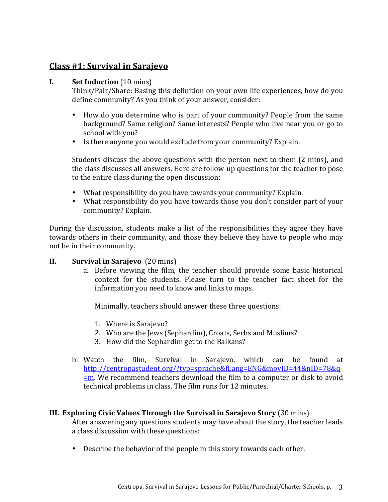# **Class)#1:)Survival)in)Sarajevo**

#### **I.** Set Induction (10 mins)

Think/Pair/Share: Basing this definition on your own life experiences, how do you define community? As you think of your answer, consider:

- How do you determine who is part of your community? People from the same background? Same religion? Same interests? People who live near you or go to school with you?
- Is there anyone you would exclude from your community? Explain.

Students discuss the above questions with the person next to them (2 mins), and the class discusses all answers. Here are follow-up questions for the teacher to pose to the entire class during the open discussion:

- What responsibility do you have towards your community? Explain.
- What responsibility do you have towards those you don't consider part of your community? Explain.

During the discussion, students make a list of the responsibilities they agree they have towards others in their community, and those they believe they have to people who may not be in their community.

# **II. Survival in Sarajevo** (20 mins)

a. Before viewing the film, the teacher should provide some basic historical context for the students. Please turn to the teacher fact sheet for the information you need to know and links to maps.

Minimally, teachers should answer these three questions:

- 1. Where is Sarajevo?
- 2. Who are the Jews (Sephardim), Croats, Serbs and Muslims?
- 3. How did the Sephardim get to the Balkans?
- b. Watch the film, Survival in Sarajevo, which can be found at http://centropastudent.org/?typ=sprache&fLang=ENG&movID=44&nID=78&q  $=m$ . We recommend teachers download the film to a computer or disk to avoid technical problems in class. The film runs for 12 minutes.

# **III.** Exploring Civic Values Through the Survival in Sarajevo Story (30 mins)

After answering any questions students may have about the story, the teacher leads a class discussion with these questions:

• Describe the behavior of the people in this story towards each other.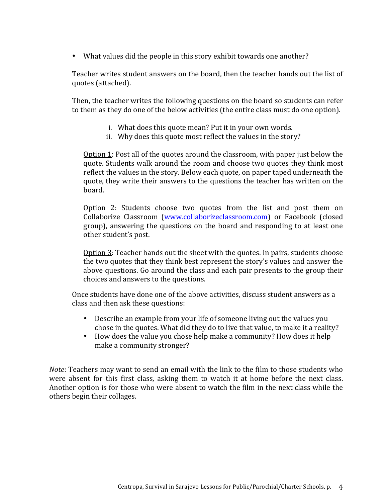• What values did the people in this story exhibit towards one another?

Teacher writes student answers on the board, then the teacher hands out the list of quotes (attached).

Then, the teacher writes the following questions on the board so students can refer to them as they do one of the below activities (the entire class must do one option).

- i. What does this quote mean? Put it in your own words.
- ii. Why does this quote most reflect the values in the story?

Option 1: Post all of the quotes around the classroom, with paper just below the quote. Students walk around the room and choose two quotes they think most reflect the values in the story. Below each quote, on paper taped underneath the quote, they write their answers to the questions the teacher has written on the board.

Option  $2$ : Students choose two quotes from the list and post them on Collaborize Classroom (www.collaborizeclassroom.com) or Facebook (closed group), answering the questions on the board and responding to at least one other student's post.

Option 3: Teacher hands out the sheet with the quotes. In pairs, students choose the two quotes that they think best represent the story's values and answer the above questions. Go around the class and each pair presents to the group their choices and answers to the questions.

Once students have done one of the above activities, discuss student answers as a class and then ask these questions:

- Describe an example from your life of someone living out the values you chose in the quotes. What did they do to live that value, to make it a reality?
- How does the value you chose help make a community? How does it help make a community stronger?

*Note*: Teachers may want to send an email with the link to the film to those students who were absent for this first class, asking them to watch it at home before the next class. Another option is for those who were absent to watch the film in the next class while the others begin their collages.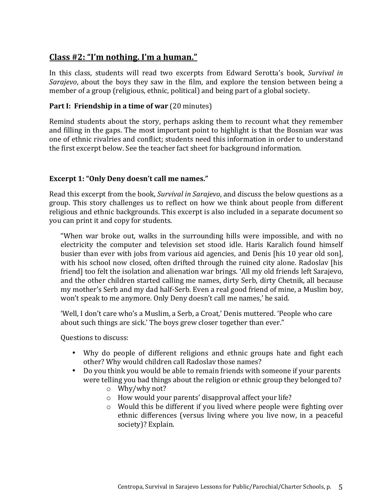# **Class)#2:)"I'm)nothing.)I'm)a)human."**

In this class, students will read two excerpts from Edward Serotta's book, *Survival in Sarajevo*, about the boys they saw in the film, and explore the tension between being a member of a group (religious, ethnic, political) and being part of a global society.

# **Part I: Friendship in a time of war** (20 minutes)

Remind students about the story, perhaps asking them to recount what they remember and filling in the gaps. The most important point to highlight is that the Bosnian war was one of ethnic rivalries and conflict; students need this information in order to understand the first excerpt below. See the teacher fact sheet for background information.

# **Excerpt 1: "Only Deny doesn't call me names."**

Read this excerpt from the book, *Survival in Sarajevo*, and discuss the below questions as a group. This story challenges us to reflect on how we think about people from different religious and ethnic backgrounds. This excerpt is also included in a separate document so you can print it and copy for students.

"When war broke out, walks in the surrounding hills were impossible, and with no electricity the computer and television set stood idle. Haris Karalich found himself busier than ever with jobs from various aid agencies, and Denis [his 10 year old son], with his school now closed, often drifted through the ruined city alone. Radoslav [his] friend] too felt the isolation and alienation war brings. 'All my old friends left Sarajevo, and the other children started calling me names, dirty Serb, dirty Chetnik, all because my mother's Serb and my dad half-Serb. Even a real good friend of mine, a Muslim boy, won't speak to me anymore. Only Deny doesn't call me names,' he said.

'Well, I don't care who's a Muslim, a Serb, a Croat,' Denis muttered. 'People who care about such things are sick.' The boys grew closer together than ever."

Questions to discuss:

- Why do people of different religions and ethnic groups hate and fight each other? Why would children call Radoslav those names?
- Do you think you would be able to remain friends with someone if your parents were telling you bad things about the religion or ethnic group they belonged to?
	- $\circ$  Why/why not?
	- $\circ$  How would your parents' disapproval affect your life?
	- $\circ$  Would this be different if you lived where people were fighting over ethnic differences (versus living where you live now, in a peaceful society)? Explain.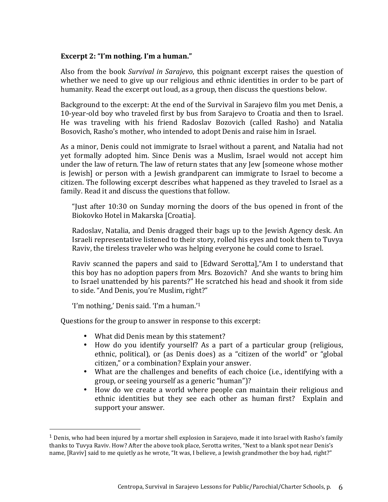#### **Excerpt 2: "I'm nothing. I'm a human."**

Also from the book *Survival in Sarajevo*, this poignant excerpt raises the question of whether we need to give up our religious and ethnic identities in order to be part of humanity. Read the excerpt out loud, as a group, then discuss the questions below.

Background to the excerpt: At the end of the Survival in Sarajevo film you met Denis, a 10-year-old boy who traveled first by bus from Sarajevo to Croatia and then to Israel. He was traveling with his friend Radoslav Bozovich (called Rasho) and Natalia Bosovich, Rasho's mother, who intended to adopt Denis and raise him in Israel.

As a minor, Denis could not immigrate to Israel without a parent, and Natalia had not yet formally adopted him. Since Denis was a Muslim, Israel would not accept him under the law of return. The law of return states that any Jew [someone whose mother is [ewish] or person with a Jewish grandparent can immigrate to Israel to become a citizen. The following excerpt describes what happened as they traveled to Israel as a family. Read it and discuss the questions that follow.

"Just after 10:30 on Sunday morning the doors of the bus opened in front of the Biokovko Hotel in Makarska [Croatia].

Radoslav, Natalia, and Denis dragged their bags up to the Jewish Agency desk. An Israeli representative listened to their story, rolled his eyes and took them to Tuvya Raviv, the tireless traveler who was helping everyone he could come to Israel.

Raviv scanned the papers and said to [Edward Serotta], "Am I to understand that this boy has no adoption papers from Mrs. Bozovich? And she wants to bring him to Israel unattended by his parents?" He scratched his head and shook it from side to side. "And Denis, you're Muslim, right?"

'I'm nothing,' Denis said. 'I'm a human.'<sup>1</sup>

!!!!!!!!!!!!!!!!!!!!!!!!!!!!!!!!!!!!!!!!!!!!!!!!!!!!!!!

Questions for the group to answer in response to this excerpt:

- What did Denis mean by this statement?
- How do you identify yourself? As a part of a particular group (religious, ethnic, political), or (as Denis does) as a "citizen of the world" or "global citizen," or a combination? Explain your answer.
- What are the challenges and benefits of each choice (i.e., identifying with a group, or seeing yourself as a generic "human")?
- How do we create a world where people can maintain their religious and ethnic identities but they see each other as human first? Explain and support your answer.

<sup>&</sup>lt;sup>1</sup> Denis, who had been injured by a mortar shell explosion in Sarajevo, made it into Israel with Rasho's family thanks to Tuvya Raviv. How? After the above took place, Serotta writes, "Next to a blank spot near Denis's name, [Raviv] said to me quietly as he wrote, "It was, I believe, a Jewish grandmother the boy had, right?"